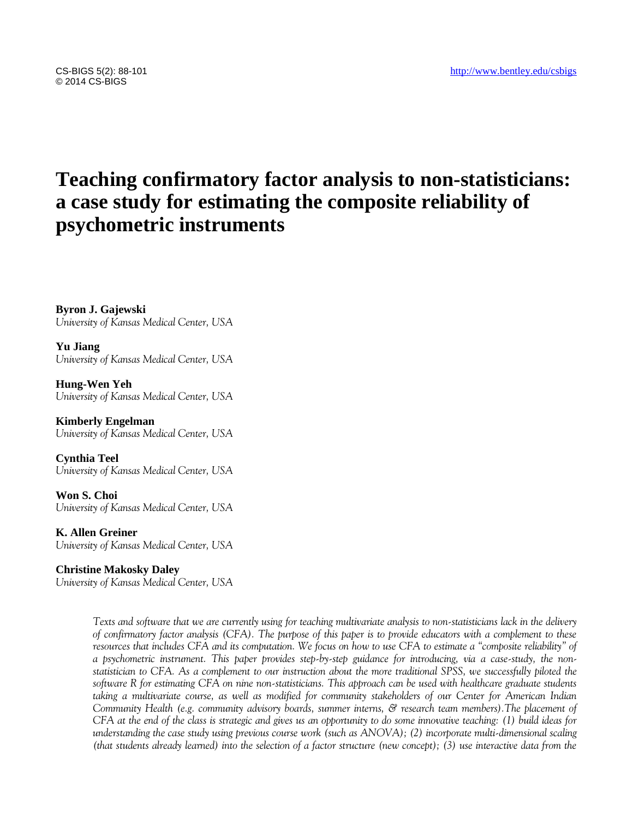## © 2014 CS-BIGS

# **Teaching confirmatory factor analysis to non-statisticians: a case study for estimating the composite reliability of psychometric instruments**

**Byron J. Gajewski** *University of Kansas Medical Center, USA*

**Yu Jiang** *University of Kansas Medical Center, USA*

**Hung-Wen Yeh** *University of Kansas Medical Center, USA*

**Kimberly Engelman** *University of Kansas Medical Center, USA*

**Cynthia Teel** *University of Kansas Medical Center, USA*

**Won S. Choi** *University of Kansas Medical Center, USA*

**K. Allen Greiner** *University of Kansas Medical Center, USA*

**Christine Makosky Daley** *University of Kansas Medical Center, USA*

> *Texts and software that we are currently using for teaching multivariate analysis to non-statisticians lack in the delivery of confirmatory factor analysis (CFA). The purpose of this paper is to provide educators with a complement to these resources that includes CFA and its computation. We focus on how to use CFA to estimate a "composite reliability" of a psychometric instrument. This paper provides step-by-step guidance for introducing, via a case-study, the nonstatistician to CFA. As a complement to our instruction about the more traditional SPSS, we successfully piloted the software R for estimating CFA on nine non-statisticians. This approach can be used with healthcare graduate students taking a multivariate course, as well as modified for community stakeholders of our Center for American Indian Community Health (e.g. community advisory boards, summer interns, & research team members).The placement of CFA at the end of the class is strategic and gives us an opportunity to do some innovative teaching: (1) build ideas for understanding the case study using previous course work (such as ANOVA); (2) incorporate multi-dimensional scaling (that students already learned) into the selection of a factor structure (new concept); (3) use interactive data from the*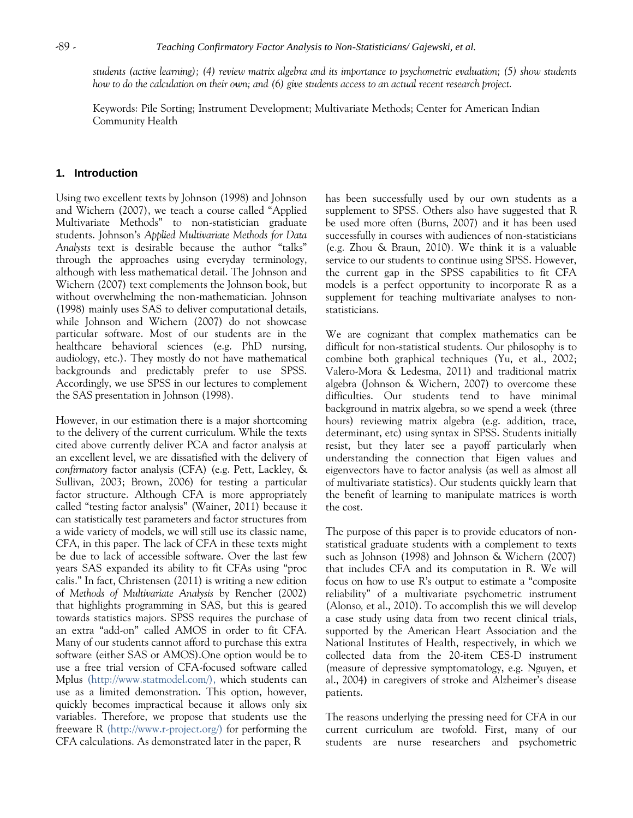*students (active learning); (4) review matrix algebra and its importance to psychometric evaluation; (5) show students how to do the calculation on their own; and (6) give students access to an actual recent research project.*

Keywords: Pile Sorting; Instrument Development; Multivariate Methods; Center for American Indian Community Health

## **1. Introduction**

Using two excellent texts by Johnson (1998) and Johnson and Wichern (2007), we teach a course called "Applied Multivariate Methods" to non-statistician graduate students. Johnson's *Applied Multivariate Methods for Data Analysts* text is desirable because the author "talks" through the approaches using everyday terminology, although with less mathematical detail. The Johnson and Wichern (2007) text complements the Johnson book, but without overwhelming the non-mathematician. Johnson (1998) mainly uses SAS to deliver computational details, while Johnson and Wichern (2007) do not showcase particular software. Most of our students are in the healthcare behavioral sciences (e.g. PhD nursing, audiology, etc.). They mostly do not have mathematical backgrounds and predictably prefer to use SPSS. Accordingly, we use SPSS in our lectures to complement the SAS presentation in Johnson (1998).

However, in our estimation there is a major shortcoming to the delivery of the current curriculum. While the texts cited above currently deliver PCA and factor analysis at an excellent level, we are dissatisfied with the delivery of *confirmatory* factor analysis (CFA) (e.g. Pett, Lackley, & Sullivan, 2003; Brown, 2006) for testing a particular factor structure. Although CFA is more appropriately called "testing factor analysis" (Wainer, 2011) because it can statistically test parameters and factor structures from a wide variety of models, we will still use its classic name, CFA, in this paper. The lack of CFA in these texts might be due to lack of accessible software. Over the last few years SAS expanded its ability to fit CFAs using "proc calis." In fact, Christensen (2011) is writing a new edition of *Methods of Multivariate Analysis* by Rencher (2002) that highlights programming in SAS, but this is geared towards statistics majors. SPSS requires the purchase of an extra "add-on" called AMOS in order to fit CFA. Many of our students cannot afford to purchase this extra software (either SAS or AMOS).One option would be to use a free trial version of CFA-focused software called Mplus (http://www.statmodel.com/), which students can use as a limited demonstration. This option, however, quickly becomes impractical because it allows only six variables. Therefore, we propose that students use the freeware R (http://www.r-project.org/) for performing the CFA calculations. As demonstrated later in the paper, R

has been successfully used by our own students as a supplement to SPSS. Others also have suggested that R be used more often (Burns, 2007) and it has been used successfully in courses with audiences of non-statisticians (e.g. Zhou & Braun, 2010). We think it is a valuable service to our students to continue using SPSS. However, the current gap in the SPSS capabilities to fit CFA models is a perfect opportunity to incorporate R as a supplement for teaching multivariate analyses to nonstatisticians.

We are cognizant that complex mathematics can be difficult for non-statistical students. Our philosophy is to combine both graphical techniques (Yu, et al., 2002; Valero-Mora & Ledesma, 2011) and traditional matrix algebra (Johnson & Wichern, 2007) to overcome these difficulties. Our students tend to have minimal background in matrix algebra, so we spend a week (three hours) reviewing matrix algebra (e.g. addition, trace, determinant, etc) using syntax in SPSS. Students initially resist, but they later see a payoff particularly when understanding the connection that Eigen values and eigenvectors have to factor analysis (as well as almost all of multivariate statistics). Our students quickly learn that the benefit of learning to manipulate matrices is worth the cost.

The purpose of this paper is to provide educators of nonstatistical graduate students with a complement to texts such as Johnson (1998) and Johnson & Wichern (2007) that includes CFA and its computation in R. We will focus on how to use R's output to estimate a "composite reliability" of a multivariate psychometric instrument (Alonso*,* et al., 2010). To accomplish this we will develop a case study using data from two recent clinical trials, supported by the American Heart Association and the National Institutes of Health, respectively, in which we collected data from the 20-item CES-D instrument (measure of depressive symptomatology, e.g. Nguyen, et al., 2004**)** in caregivers of stroke and Alzheimer's disease patients.

The reasons underlying the pressing need for CFA in our current curriculum are twofold. First, many of our students are nurse researchers and psychometric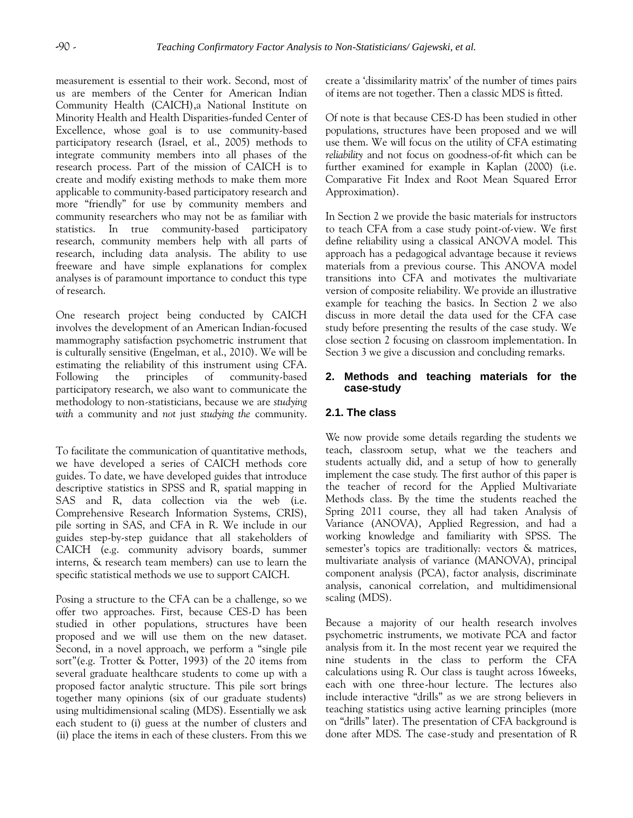measurement is essential to their work. Second, most of us are members of the Center for American Indian Community Health (CAICH),a National Institute on Minority Health and Health Disparities-funded Center of Excellence, whose goal is to use community-based participatory research (Israel, et al., 2005) methods to integrate community members into all phases of the research process. Part of the mission of CAICH is to create and modify existing methods to make them more applicable to community-based participatory research and more "friendly" for use by community members and community researchers who may not be as familiar with statistics. In true community-based participatory research, community members help with all parts of research, including data analysis. The ability to use freeware and have simple explanations for complex analyses is of paramount importance to conduct this type of research.

One research project being conducted by CAICH involves the development of an American Indian-focused mammography satisfaction psychometric instrument that is culturally sensitive (Engelman, et al., 2010). We will be estimating the reliability of this instrument using CFA. Following the principles of community-based participatory research, we also want to communicate the methodology to non-statisticians, because we are *studying with* a community and *not* just *studying the* community.

To facilitate the communication of quantitative methods, we have developed a series of CAICH methods core guides. To date, we have developed guides that introduce descriptive statistics in SPSS and R, spatial mapping in SAS and R, data collection via the web (i.e. Comprehensive Research Information Systems, CRIS), pile sorting in SAS, and CFA in R. We include in our guides step-by-step guidance that all stakeholders of CAICH (e.g. community advisory boards, summer interns, & research team members) can use to learn the specific statistical methods we use to support CAICH.

Posing a structure to the CFA can be a challenge, so we offer two approaches. First, because CES-D has been studied in other populations, structures have been proposed and we will use them on the new dataset. Second, in a novel approach, we perform a "single pile sort"(e.g. Trotter & Potter, 1993) of the 20 items from several graduate healthcare students to come up with a proposed factor analytic structure. This pile sort brings together many opinions (six of our graduate students) using multidimensional scaling (MDS). Essentially we ask each student to (i) guess at the number of clusters and (ii) place the items in each of these clusters. From this we create a 'dissimilarity matrix' of the number of times pairs of items are not together. Then a classic MDS is fitted.

Of note is that because CES-D has been studied in other populations, structures have been proposed and we will use them. We will focus on the utility of CFA estimating *reliability* and not focus on goodness-of-fit which can be further examined for example in Kaplan (2000) (i.e. Comparative Fit Index and Root Mean Squared Error Approximation).

In Section 2 we provide the basic materials for instructors to teach CFA from a case study point-of-view. We first define reliability using a classical ANOVA model. This approach has a pedagogical advantage because it reviews materials from a previous course. This ANOVA model transitions into CFA and motivates the multivariate version of composite reliability. We provide an illustrative example for teaching the basics. In Section 2 we also discuss in more detail the data used for the CFA case study before presenting the results of the case study. We close section 2 focusing on classroom implementation. In Section 3 we give a discussion and concluding remarks.

#### **2. Methods and teaching materials for the case-study**

## **2.1. The class**

We now provide some details regarding the students we teach, classroom setup, what we the teachers and students actually did, and a setup of how to generally implement the case study. The first author of this paper is the teacher of record for the Applied Multivariate Methods class. By the time the students reached the Spring 2011 course, they all had taken Analysis of Variance (ANOVA), Applied Regression, and had a working knowledge and familiarity with SPSS. The semester's topics are traditionally: vectors & matrices, multivariate analysis of variance (MANOVA), principal component analysis (PCA), factor analysis, discriminate analysis, canonical correlation, and multidimensional scaling (MDS).

Because a majority of our health research involves psychometric instruments, we motivate PCA and factor analysis from it. In the most recent year we required the nine students in the class to perform the CFA calculations using R. Our class is taught across 16weeks, each with one three-hour lecture. The lectures also include interactive "drills" as we are strong believers in teaching statistics using active learning principles (more on "drills" later). The presentation of CFA background is done after MDS. The case-study and presentation of R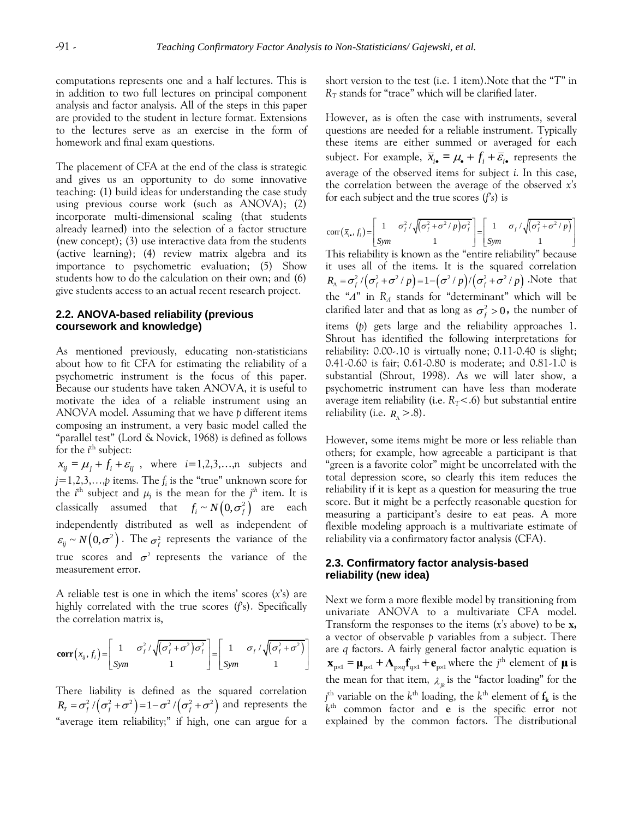computations represents one and a half lectures. This is in addition to two full lectures on principal component analysis and factor analysis. All of the steps in this paper are provided to the student in lecture format. Extensions to the lectures serve as an exercise in the form of homework and final exam questions.

The placement of CFA at the end of the class is strategic and gives us an opportunity to do some innovative teaching: (1) build ideas for understanding the case study using previous course work (such as ANOVA); (2) incorporate multi-dimensional scaling (that students already learned) into the selection of a factor structure (new concept); (3) use interactive data from the students (active learning); (4) review matrix algebra and its importance to psychometric evaluation; (5) Show students how to do the calculation on their own; and (6) give students access to an actual recent research project.

#### **2.2. ANOVA-based reliability (previous coursework and knowledge)**

As mentioned previously, educating non-statisticians about how to fit CFA for estimating the reliability of a psychometric instrument is the focus of this paper. Because our students have taken ANOVA, it is useful to motivate the idea of a reliable instrument using an ANOVA model. Assuming that we have *p* different items composing an instrument, a very basic model called the "parallel test" (Lord & Novick, 1968) is defined as follows for the *i*<sup>th</sup> subject:

 $x_{ij} = \mu_j + f_i + \varepsilon_{ij}$ , where  $i=1,2,3,...,n$  subjects and *j*=1,2,3,…,*p* items. The *f<sup>i</sup>* is the "true" unknown score for the *i*<sup>th</sup> subject and  $\mu_j$  is the mean for the *j*<sup>th</sup> item. It is classically assumed that  $f_i \sim N\left(0, \sigma_f^2\right)$  are each independently distributed as well as independent of  $\varepsilon_{ij} \sim N(0, \sigma^2)$ . The  $\sigma_f^2$  represents the variance of the true scores and  $\sigma^2$  represents the variance of the measurement error.

A reliable test is one in which the items' scores (*x*'s) are highly correlated with the true scores (*f*'s). Specifically the correlation matrix is,

the correlation matrix is,  
\n
$$
\text{corr}\left(x_{ij}, f_i\right) = \begin{bmatrix} 1 & \sigma_j^2 / \sqrt{(\sigma_j^2 + \sigma^2) \sigma_j^2} \\ \text{Sym} & 1 \end{bmatrix} = \begin{bmatrix} 1 & \sigma_j / \sqrt{(\sigma_j^2 + \sigma^2)} \\ \text{Sym} & 1 \end{bmatrix} \quad \begin{array}{c} \text{arccos} \\ \text{are} \\ \text{Sym} \end{array}
$$

There liability is defined as the squared correlation There liability is defined as the squared correlation  $R_r = \sigma_f^2 / (\sigma_f^2 + \sigma^2) = 1 - \sigma^2 / (\sigma_f^2 + \sigma^2)$  and represents the "average item reliability;" if high, one can argue for a

short version to the test (i.e. 1 item).Note that the "*T*" in  $R_T$  stands for "trace" which will be clarified later.

However, as is often the case with instruments, several questions are needed for a reliable instrument. Typically these items are either summed or averaged for each subject. For example,  $\overline{x}_{i\bullet} = \mu_{\bullet} + f_i + \overline{\varepsilon}_{i\bullet}$  represents the average of the observed items for subject *i*. In this case, the correlation between the average of the observed *x's*

for each subject and the true scores 
$$
(f\ s)
$$
 is  
\n
$$
\text{corr}(\bar{x}_i, f_i) = \begin{bmatrix} 1 & \sigma_i^2 / \sqrt{(\sigma_i^2 + \sigma^2 / p) \sigma_i^2} \\ \text{Sym} & 1 \end{bmatrix} = \begin{bmatrix} 1 & \sigma_i / \sqrt{(\sigma_i^2 + \sigma^2 / p)} \\ \text{Sym} & 1 \end{bmatrix}
$$
\nThis reliability is known as the "antis-reliability" because

This reliability is known as the "entire reliability" because it uses all of the items. It is the squared correlation 2 2 2 2 2 2 / / 1 / / / *R p p p f f f* .Note that the "*Λ*" in *R<sup>Λ</sup>* stands for "determinant" which will be clarified later and that as long as  $\sigma_f^2 > 0$ , the number of items (*p*) gets large and the reliability approaches 1. Shrout has identified the following interpretations for reliability: 0.00-.10 is virtually none; 0.11-0.40 is slight; 0.41-0.60 is fair; 0.61-0.80 is moderate; and 0.81-1.0 is substantial (Shrout, 1998). As we will later show, a psychometric instrument can have less than moderate average item reliability (i.e.  $R_T < 0$ ) but substantial entire reliability (i.e. *R* >.8).

However, some items might be more or less reliable than others; for example, how agreeable a participant is that "green is a favorite color" might be uncorrelated with the total depression score, so clearly this item reduces the reliability if it is kept as a question for measuring the true score. But it might be a perfectly reasonable question for measuring a participant's desire to eat peas. A more flexible modeling approach is a multivariate estimate of reliability via a confirmatory factor analysis (CFA).

#### **2.3. Confirmatory factor analysis-based reliability (new idea)**

Next we form a more flexible model by transitioning from univariate ANOVA to a multivariate CFA model. Transform the responses to the items (*x's* above) to be **x,** a vector of observable *p* variables from a subject. There are *q* factors. A fairly general factor analytic equation is  $\mathbf{x}_{\text{p} \times 1} = \mathbf{\mu}_{\text{p} \times 1} + \mathbf{\Lambda}_{\text{p} \times q} \mathbf{f}_{q \times 1} + \mathbf{e}_{\text{p} \times 1}$  where the *j*<sup>th</sup> element of **µ** is the mean for that item,  $\lambda_{jk}$  is the "factor loading" for the  $j^{\text{th}}$  variable on the  $k^{\text{th}}$  loading, the  $k^{\text{th}}$  element of  $\mathbf{f}_{\mathbf{k}}$  is the *k* th common factor and **e** is the specific error not explained by the common factors. The distributional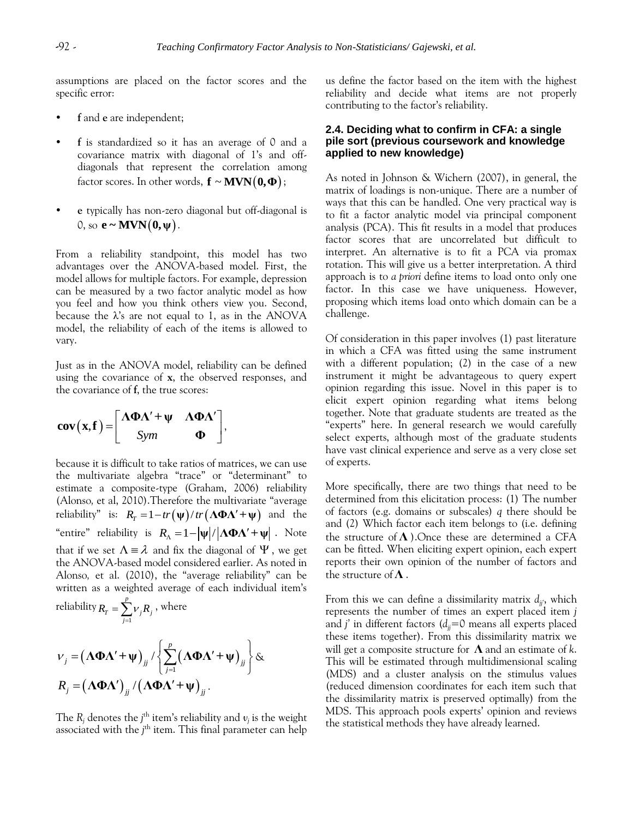assumptions are placed on the factor scores and the specific error:

- **f** and **e** are independent;
- **f** is standardized so it has an average of 0 and a covariance matrix with diagonal of 1's and offdiagonals that represent the correlation among factor scores. In other words,  $\mathbf{f} \sim \mathbf{MVN(0, \Phi)}$ ;
- **e** typically has non-zero diagonal but off-diagonal is  $0$ , so  $e \sim MVN(0, \psi)$ .

From a reliability standpoint, this model has two advantages over the ANOVA-based model. First, the model allows for multiple factors. For example, depression can be measured by a two factor analytic model as how you feel and how you think others view you. Second, because the  $\lambda$ 's are not equal to 1, as in the ANOVA model, the reliability of each of the items is allowed to vary.

Just as in the ANOVA model, reliability can be defined using the covariance of **x**, the observed responses, and the covariance of **f**, the true scores:

$$
cov(x,f) = \begin{bmatrix} \Lambda \Phi \Lambda' + \Psi & \Lambda \Phi \Lambda' \\ Sym & \Phi \end{bmatrix},
$$

because it is difficult to take ratios of matrices, we can use the multivariate algebra "trace" or "determinant" to estimate a composite-type (Graham, 2006) reliability (Alonso*,* et al, 2010).Therefore the multivariate "average (Alonso, et al, 2010). I herefore the multivariate "average<br>reliability" is:  $R_r = 1 - tr(\psi)/tr(\Lambda \Phi \Lambda' + \psi)$  and the "entire" reliability is  $R_{\Lambda} = 1 - |\psi| / |\Lambda \Phi \Lambda' + \psi|$ . Note that if we set  $\Lambda \equiv \lambda$  and fix the diagonal of  $\Psi$ , we get the ANOVA-based model considered earlier. As noted in Alonso*,* et al. (2010), the "average reliability" can be written as a weighted average of each individual item's *p*

reliability 
$$
R_T = \sum_{j=1}^{L} v_j R_j
$$
, where  
\n
$$
v_j = (\mathbf{\Lambda} \mathbf{\Phi} \mathbf{\Lambda}' + \mathbf{\psi})_{jj} / \left\{ \sum_{j=1}^{P} (\mathbf{\Lambda} \mathbf{\Phi} \mathbf{\Lambda}' + \mathbf{\psi})_{jj} \right\} \&
$$
\n
$$
R_j = (\mathbf{\Lambda} \mathbf{\Phi} \mathbf{\Lambda}')_{jj} / (\mathbf{\Lambda} \mathbf{\Phi} \mathbf{\Lambda}' + \mathbf{\psi})_{jj}.
$$

The  $R_j$  denotes the *j*<sup>th</sup> item's reliability and  $v_j$  is the weight associated with the *j*<sup>th</sup> item. This final parameter can help us define the factor based on the item with the highest reliability and decide what items are not properly contributing to the factor's reliability.

## **2.4. Deciding what to confirm in CFA: a single pile sort (previous coursework and knowledge applied to new knowledge)**

As noted in Johnson & Wichern (2007), in general, the matrix of loadings is non-unique. There are a number of ways that this can be handled. One very practical way is to fit a factor analytic model via principal component analysis (PCA). This fit results in a model that produces factor scores that are uncorrelated but difficult to interpret. An alternative is to fit a PCA via promax rotation. This will give us a better interpretation. A third approach is to *a priori* define items to load onto only one factor. In this case we have uniqueness. However, proposing which items load onto which domain can be a challenge.

Of consideration in this paper involves (1) past literature in which a CFA was fitted using the same instrument with a different population; (2) in the case of a new instrument it might be advantageous to query expert opinion regarding this issue. Novel in this paper is to elicit expert opinion regarding what items belong together. Note that graduate students are treated as the "experts" here. In general research we would carefully select experts, although most of the graduate students have vast clinical experience and serve as a very close set of experts.

More specifically, there are two things that need to be determined from this elicitation process: (1) The number of factors (e.g. domains or subscales) *q* there should be and (2) Which factor each item belongs to (i.e. defining the structure of **Λ** ).Once these are determined a CFA can be fitted. When eliciting expert opinion, each expert reports their own opinion of the number of factors and the structure of **Λ** .

From this we can define a dissimilarity matrix *djj'*, which represents the number of times an expert placed item *j* and *j*' in different factors  $(d_{ij}=0$  means all experts placed these items together). From this dissimilarity matrix we will get a composite structure for **Λ** and an estimate of *k*. This will be estimated through multidimensional scaling (MDS) and a cluster analysis on the stimulus values (reduced dimension coordinates for each item such that the dissimilarity matrix is preserved optimally) from the MDS. This approach pools experts' opinion and reviews the statistical methods they have already learned.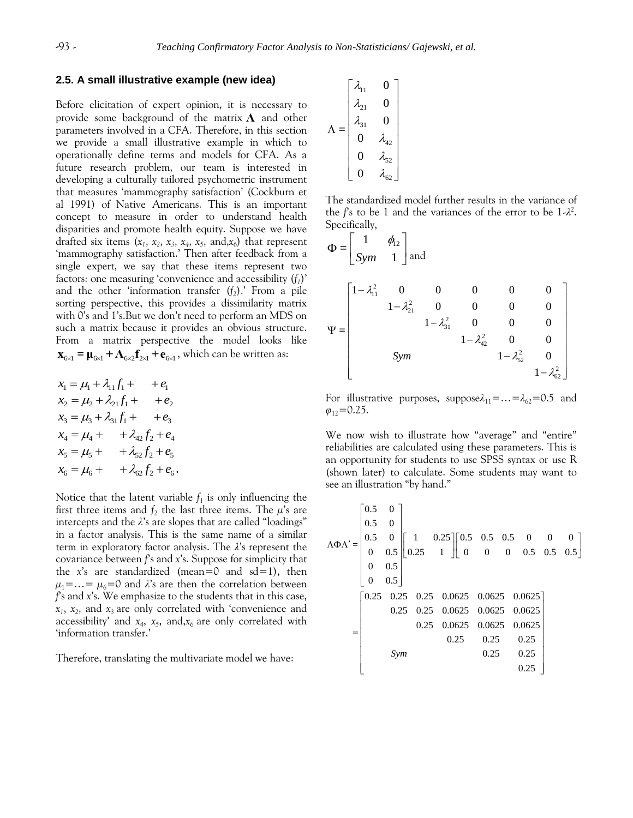#### **2.5. A small illustrative example (new idea)**

Before elicitation of expert opinion, it is necessary to provide some background of the matrix **Λ** and other parameters involved in a CFA. Therefore, in this section we provide a small illustrative example in which to operationally define terms and models for CFA. As a future research problem, our team is interested in developing a culturally tailored psychometric instrument that measures 'mammography satisfaction' (Cockburn et al 1991) of Native Americans. This is an important concept to measure in order to understand health disparities and promote health equity. Suppose we have drafted six items  $(x_1, x_2, x_3, x_4, x_5, \text{ and}, x_6)$  that represent 'mammography satisfaction.' Then after feedback from a single expert, we say that these items represent two factors: one measuring 'convenience and accessibility (*f<sup>1</sup>* )' and the other 'information transfer (*f<sup>2</sup>* ).' From a pile sorting perspective, this provides a dissimilarity matrix with 0's and 1's.But we don't need to perform an MDS on such a matrix because it provides an obvious structure. From a matrix perspective the model looks like  $\mathbf{x}_{6\times1} = \mathbf{\mu}_{6\times1} + \mathbf{\Lambda}_{6\times2} \mathbf{f}_{2\times1} + \mathbf{e}_{6\times1}$ , which can be written as:

$$
x_1 = \mu_1 + \lambda_{11} f_1 + + e_1
$$
  
\n
$$
x_2 = \mu_2 + \lambda_{21} f_1 + + e_2
$$
  
\n
$$
x_3 = \mu_3 + \lambda_{31} f_1 + + e_3
$$
  
\n
$$
x_4 = \mu_4 + + \lambda_{42} f_2 + e_4
$$
  
\n
$$
x_5 = \mu_5 + + \lambda_{52} f_2 + e_5
$$
  
\n
$$
x_6 = \mu_6 + + \lambda_{62} f_2 + e_6
$$

Notice that the latent variable *f<sup>1</sup>* is only influencing the first three items and  $f_2$  the last three items. The  $\mu$ 's are intercepts and the *λ*'s are slopes that are called "loadings" in a factor analysis. This is the same name of a similar term in exploratory factor analysis. The *λ*'s represent the covariance between *f*'s and *x*'s. Suppose for simplicity that the  $x$ 's are standardized (mean=0 and  $sd=1$ ), then  $\mu_1 = \ldots = \mu_6 = 0$  and  $\lambda$ 's are then the correlation between *f*'s and *x*'s. We emphasize to the students that in this case, *x1* , *x<sup>2</sup>* , and *x3* are only correlated with 'convenience and accessibility' and *x<sup>4</sup>* , *x<sup>5</sup>* , and,*x6* are only correlated with 'information transfer.'

Therefore, translating the multivariate model we have:

$$
\Lambda = \begin{bmatrix} \lambda_{11} & 0 \\ \lambda_{21} & 0 \\ \lambda_{31} & 0 \\ 0 & \lambda_{42} \\ 0 & \lambda_{52} \\ 0 & \lambda_{62} \end{bmatrix}
$$

The standardized model further results in the variance of the *f*'s to be 1 and the variances of the error to be 1-*λ* 2 . Specifically,

$$
\Phi = \begin{bmatrix} 1 & \phi_{12} \\ Sym & 1 \end{bmatrix} \text{ and}
$$
\n
$$
\Psi = \begin{bmatrix} 1 - \lambda_{11}^2 & 0 & 0 & 0 & 0 & 0 \\ & 1 - \lambda_{21}^2 & 0 & 0 & 0 & 0 \\ & & 1 - \lambda_{31}^2 & 0 & 0 & 0 \\ & & & 1 - \lambda_{42}^2 & 0 & 0 \\ & & & & 1 - \lambda_{52}^2 & 0 \\ & & & & & 1 - \lambda_{62}^2 \end{bmatrix}
$$

For illustrative purposes, suppose $\lambda_{11} = ... = \lambda_{62} = 0.5$  and  $\varphi_{12}$ =0.25.

We now wish to illustrate how "average" and "entire" reliabilities are calculated using these parameters. This is an opportunity for students to use SPSS syntax or use R (shown later) to calculate. Some students may want to

see an illustration "by hand."

\n
$$
\Lambda \Phi \Lambda' = \begin{bmatrix}\n0.5 & 0 \\
0.5 & 0 \\
0 & 0.5 \\
0 & 0.5 \\
0 & 0.5\n\end{bmatrix}\n\begin{bmatrix}\n1 & 0.25 \\
0.25 & 1\n\end{bmatrix}\n\begin{bmatrix}\n0.5 & 0.5 & 0.5 & 0 & 0 & 0 \\
0 & 0 & 0 & 0.5 & 0.5 \\
0 & 0.5\n\end{bmatrix}
$$
\n
$$
= \begin{bmatrix}\n0.25 & 0.25 & 0.25 & 0.0625 & 0.0625 & 0.0625 \\
0.25 & 0.25 & 0.0625 & 0.0625 & 0.0625 \\
0.25 & 0.25 & 0.25 & 0.25 \\
0.25 & 0.25 & 0.25 & 0.25 \\
0.25 & 0.25 & 0.25 & 0.25\n\end{bmatrix}
$$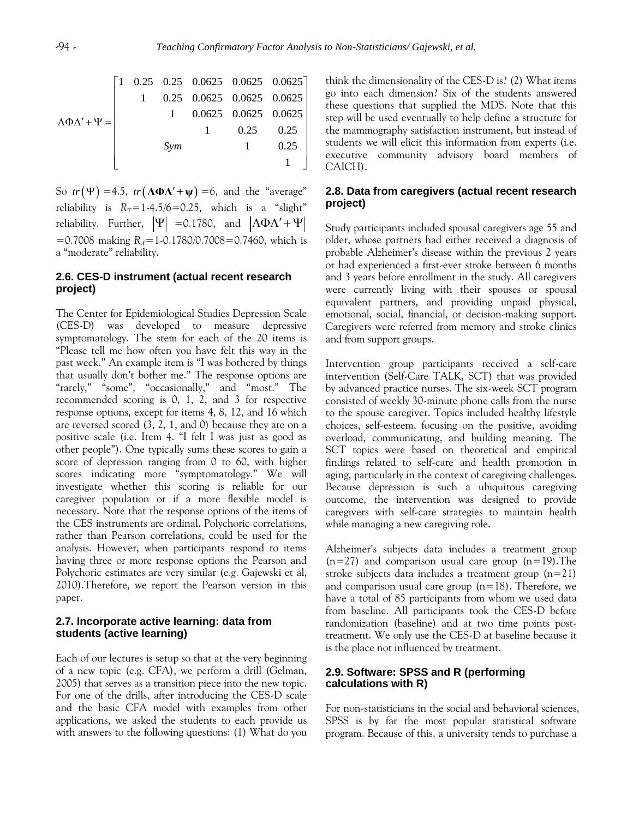$$
\Lambda \Phi \Lambda' + \Psi = \begin{bmatrix} 1 & 0.25 & 0.25 & 0.0625 & 0.0625 & 0.0625 & 0.0625 \\ 1 & 0.25 & 0.0625 & 0.0625 & 0.0625 & 0.0625 \\ 1 & 0.0625 & 0.0625 & 0.0625 & 0.0625 \\ 1 & 0.25 & 0.25 & 0.1 & 0.25 \\ 0.25 & 1 & 0.25 & 0.0625 \\ 0.25 & 0.0625 & 0.0625 & 0.0625 \\ 0.0625 & 0.0625 & 0.0625 & 0.0625 \\ 0.0625 & 0.0625 & 0.0625 & 0.0625 \\ 0.0625 & 0.0625 & 0.0625 & 0.0625 \\ 0.0625 & 0.0625 & 0.0625 & 0.0625 \\ 0.0625 & 0.0625 & 0.0625 & 0.0625 \\ 0.0625 & 0.0625 & 0.0625 & 0.0625 \\ 0.0625 & 0.0625 & 0.0625 & 0.0625 \\ 0.0625 & 0.0625 & 0.0625 & 0.0625 \\ 0.0625 & 0.0625 & 0.0625 & 0.0625 \\ 0.0625 & 0.0625 & 0.0625 & 0.0625 \\ 0.0625 & 0.0625 & 0.0625 & 0.0625 \\ 0.0625 & 0.0625 & 0.0625 & 0.0625 \\ 0.0625 & 0.0625 & 0.0625 & 0.0625 \\ 0.0625 & 0.0625 & 0.0625 & 0.0625 \\ 0.0625 & 0.0625 & 0.0625 & 0.0625 \\ 0.0625 & 0.0625 & 0.0625 & 0.0625 \\ 0.0625 & 0.0625 & 0.0625 & 0.06
$$

So  $tr(\Psi) = 4.5$ ,  $tr(\Lambda \Phi \Lambda' + \Psi) = 6$ , and the "average" reliability is  $R_T = 1-4.5/6 = 0.25$ , which is a "slight" reliability. Further,  $|\Psi|$  =0.1780, and  $|\Lambda \Phi \Lambda' + \Psi$ =0.7008 making *RΛ*=1-0.1780/0.7008=0.7460, which is a "moderate" reliability.

## **2.6. CES-D instrument (actual recent research project)**

The Center for Epidemiological Studies Depression Scale (CES-D) was developed to measure depressive symptomatology. The stem for each of the 20 items is "Please tell me how often you have felt this way in the past week." An example item is "I was bothered by things that usually don't bother me." The response options are "rarely," "some", "occasionally," and "most." The recommended scoring is 0, 1, 2, and 3 for respective response options, except for items 4, 8, 12, and 16 which are reversed scored (3, 2, 1, and 0) because they are on a positive scale (i.e. Item 4. "I felt I was just as good as other people"). One typically sums these scores to gain a score of depression ranging from 0 to 60, with higher scores indicating more "symptomatology." We will investigate whether this scoring is reliable for our caregiver population or if a more flexible model is necessary. Note that the response options of the items of the CES instruments are ordinal. Polychoric correlations, rather than Pearson correlations, could be used for the analysis. However, when participants respond to items having three or more response options the Pearson and Polychoric estimates are very similar (e.g. Gajewski et al, 2010).Therefore, we report the Pearson version in this paper.

## **2.7. Incorporate active learning: data from students (active learning)**

Each of our lectures is setup so that at the very beginning of a new topic (e.g. CFA), we perform a drill (Gelman, 2005) that serves as a transition piece into the new topic. For one of the drills, after introducing the CES-D scale and the basic CFA model with examples from other applications, we asked the students to each provide us with answers to the following questions: (1) What do you think the dimensionality of the CES-D is? (2) What items go into each dimension? Six of the students answered these questions that supplied the MDS. Note that this step will be used eventually to help define a structure for the mammography satisfaction instrument, but instead of students we will elicit this information from experts (i.e. executive community advisory board members of CAICH).

#### **2.8. Data from caregivers (actual recent research project)**

Study participants included spousal caregivers age 55 and older, whose partners had either received a diagnosis of probable Alzheimer's disease within the previous 2 years or had experienced a first-ever stroke between 6 months and 3 years before enrollment in the study. All caregivers were currently living with their spouses or spousal equivalent partners, and providing unpaid physical, emotional, social, financial, or decision-making support. Caregivers were referred from memory and stroke clinics and from support groups.

Intervention group participants received a self-care intervention (Self-Care TALK, SCT) that was provided by advanced practice nurses. The six-week SCT program consisted of weekly 30-minute phone calls from the nurse to the spouse caregiver. Topics included healthy lifestyle choices, self-esteem, focusing on the positive, avoiding overload, communicating, and building meaning. The SCT topics were based on theoretical and empirical findings related to self-care and health promotion in aging, particularly in the context of caregiving challenges. Because depression is such a ubiquitous caregiving outcome, the intervention was designed to provide caregivers with self-care strategies to maintain health while managing a new caregiving role.

Alzheimer's subjects data includes a treatment group  $(n=27)$  and comparison usual care group  $(n=19)$ . The stroke subjects data includes a treatment group  $(n=21)$ and comparison usual care group  $(n=18)$ . Therefore, we have a total of 85 participants from whom we used data from baseline. All participants took the CES-D before randomization (baseline) and at two time points posttreatment. We only use the CES-D at baseline because it is the place not influenced by treatment.

## **2.9. Software: SPSS and R (performing calculations with R)**

For non-statisticians in the social and behavioral sciences, SPSS is by far the most popular statistical software program. Because of this, a university tends to purchase a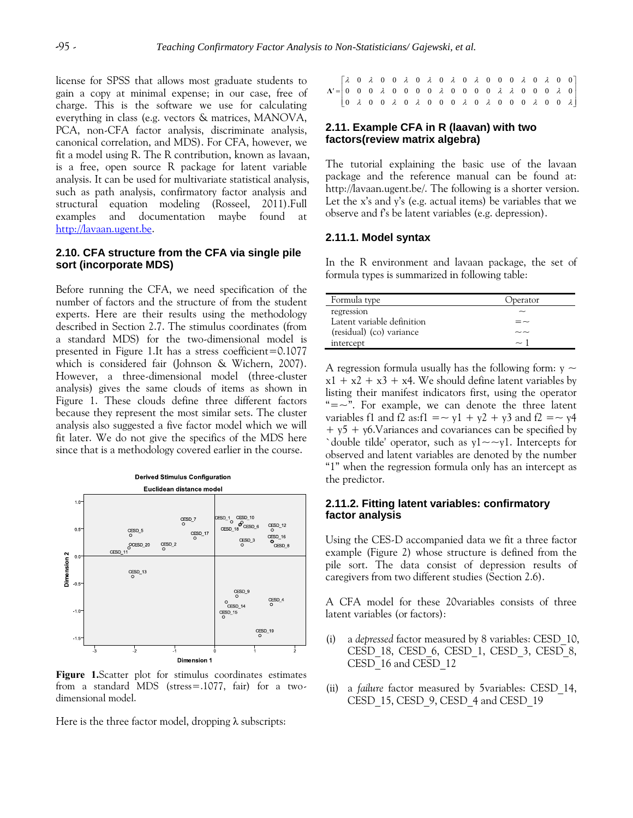license for SPSS that allows most graduate students to gain a copy at minimal expense; in our case, free of charge. This is the software we use for calculating everything in class (e.g. vectors & matrices, MANOVA, PCA, non-CFA factor analysis, discriminate analysis, canonical correlation, and MDS). For CFA, however, we fit a model using R. The R contribution, known as lavaan, is a free, open source R package for latent variable analysis. It can be used for multivariate statistical analysis, such as path analysis, confirmatory factor analysis and structural equation modeling (Rosseel, 2011).Full examples and documentation maybe found at [http://lavaan.ugent.be.](http://lavaan.ugent.be/)

#### **2.10. CFA structure from the CFA via single pile sort (incorporate MDS)**

Before running the CFA, we need specification of the number of factors and the structure of from the student experts. Here are their results using the methodology described in Section 2.7. The stimulus coordinates (from a standard MDS) for the two-dimensional model is presented in Figure 1.It has a stress coefficient=0.1077 which is considered fair (Johnson & Wichern, 2007). However, a three-dimensional model (three-cluster analysis) gives the same clouds of items as shown in Figure 1. These clouds define three different factors because they represent the most similar sets. The cluster analysis also suggested a five factor model which we will fit later. We do not give the specifics of the MDS here since that is a methodology covered earlier in the course.



**Figure 1.**Scatter plot for stimulus coordinates estimates from a standard MDS (stress=.1077, fair) for a twodimensional model.

Here is the three factor model, dropping  $\lambda$  subscripts:

| $\mathbf{A'} = \begin{bmatrix} \lambda & 0 & \lambda & 0 & 0 & \lambda & 0 & \lambda & 0 & \lambda & 0 & 0 & 0 & \lambda & 0 & 0 & 0 & 0 \\ 0 & 0 & 0 & \lambda & 0 & 0 & 0 & 0 & \lambda & 0 & 0 & 0 & 0 & \lambda & \lambda & 0 & 0 & 0 & \lambda & 0 \\ 0 & \lambda & 0 & 0 & \lambda & 0 & \lambda & 0 & 0 & 0 & \lambda & 0 & \lambda & 0 & 0 & 0 & \lambda & 0 & 0 & \lambda \end{bmatrix}$ |  |
|---------------------------------------------------------------------------------------------------------------------------------------------------------------------------------------------------------------------------------------------------------------------------------------------------------------------------------------------------------------------------------------------------|--|

## **2.11. Example CFA in R (laavan) with two factors(review matrix algebra)**

The tutorial explaining the basic use of the lavaan package and the reference manual can be found at: http://lavaan.ugent.be/. The following is a shorter version. Let the x's and y's (e.g. actual items) be variables that we observe and f's be latent variables (e.g. depression).

## **2.11.1. Model syntax**

In the R environment and lavaan package, the set of formula types is summarized in following table:

| Formula type               | Operator |
|----------------------------|----------|
| regression                 |          |
| Latent variable definition |          |
| (residual) (co) variance   |          |
| intercept                  | $\sim$ 1 |

A regression formula usually has the following form:  $y \sim$  $x1 + x2 + x3 + x4$ . We should define latent variables by listing their manifest indicators first, using the operator " $=-$ ". For example, we can denote the three latent variables f1 and f2 as:f1 =  $\sim$  y1 + y2 + y3 and f2 =  $\sim$  y4  $+$  y5 + y6. Variances and covariances can be specified by `double tilde' operator, such as  $y1 \sim y1$ . Intercepts for observed and latent variables are denoted by the number "1" when the regression formula only has an intercept as the predictor.

#### **2.11.2. Fitting latent variables: confirmatory factor analysis**

Using the CES-D accompanied data we fit a three factor example (Figure 2) whose structure is defined from the pile sort. The data consist of depression results of caregivers from two different studies (Section 2.6).

A CFA model for these 20variables consists of three latent variables (or factors):

- (i) a *depressed* factor measured by 8 variables: CESD\_10, CESD\_18, CESD\_6, CESD\_1, CESD\_3, CESD\_8, CESD\_16 and CESD\_12
- (ii) a *failure* factor measured by 5variables: CESD\_14, CESD\_15, CESD\_9, CESD\_4 and CESD\_19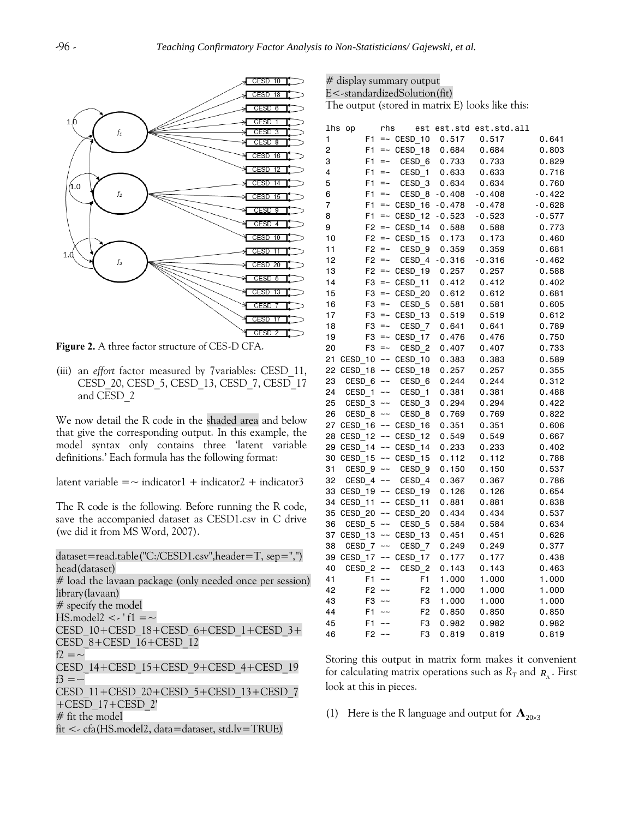

**Figure 2.** A three factor structure of CES-D CFA.

(iii) an *effort* factor measured by 7variables: CESD\_11, CESD\_20, CESD\_5, CESD\_13, CESD\_7, CESD\_17 and CESD\_2

We now detail the R code in the shaded area and below that give the corresponding output. In this example, the model syntax only contains three 'latent variable definitions.' Each formula has the following format:

latent variable  $=$   $\sim$  indicator1 + indicator2 + indicator3

The R code is the following. Before running the R code, save the accompanied dataset as CESD1.csv in C drive (we did it from MS Word, 2007).

dataset=read.table("C:/CESD1.csv",header=T, sep=",") head(dataset) # load the lavaan package (only needed once per session) library(lavaan) # specify the model  $HS$ .model2 <- ' $f1 = \sim$ CESD\_10+CESD\_18+CESD\_6+CESD\_1+CESD\_3+ CESD\_8+CESD\_16+CESD\_12  $f2 = -$ CESD\_14+CESD\_15+CESD\_9+CESD\_4+CESD\_19 f3  $=$   $\sim$ CESD\_11+CESD\_20+CESD\_5+CESD\_13+CESD\_7 +CESD\_17+CESD\_2' # fit the model fit <- cfa(HS.model2, data=dataset, std.lv=TRUE)

| # display summary output                         |
|--------------------------------------------------|
| E<-standardizedSolution(fit)                     |
| The output (stored in matrix E) looks like this: |

|    | lhs op              | rhs             |                    |          | est est.std est.std.all |          |
|----|---------------------|-----------------|--------------------|----------|-------------------------|----------|
| 1  | F1                  |                 | $=-$ CESD 10       | 0.517    | 0.517                   | 0.641    |
| 2  | F1                  | $=$ $\sim$      | CESD_18            | 0.684    | 0.684                   | 0.803    |
| 3  | F1                  | $=$ $\sim$      | CESD 6             | 0.733    | 0.733                   | 0.829    |
| 4  | F1                  | $=$ $\sim$      | CESD 1             | 0.633    | 0.633                   | 0.716    |
| 5  | F <sub>1</sub>      | $=$ $\sim$      | CESD <sub>3</sub>  | 0.634    | 0.634                   | 0.760    |
| 6  | F <sub>1</sub>      | $=$ $\sim$      | CESD 8             | $-0.408$ | $-0.408$                | $-0.422$ |
| 7  | F <sub>1</sub>      | $=$ $\sim$      | CESD 16            | $-0.478$ | $-0.478$                | $-0.628$ |
| 8  | F <sub>1</sub>      | $=$ $\sim$      | CESD 12            | $-0.523$ | $-0.523$                | $-0.577$ |
| 9  | F <sub>2</sub>      | $=$ $\sim$      | CESD 14            | 0.588    | 0.588                   | 0.773    |
| 10 | F2                  |                 | $=$ $\sim$ CESD_15 | 0.173    | 0.173                   | 0.460    |
| 11 | F2                  | $=$ $\sim$      | CESD <sub>9</sub>  | 0.359    | 0.359                   | 0.681    |
| 12 | F2                  | $\!=\! \sim$    | CESD 4             | $-0.316$ | $-0.316$                | $-0.462$ |
| 13 | F2                  |                 | $=$ CESD 19        | 0.257    | 0.257                   | 0.588    |
| 14 | F3                  | $=$ $\sim$      | CESD 11            | 0.412    | 0.412                   | 0.402    |
| 15 |                     | $F3 = -$        | CESD 20            | 0.612    | 0.612                   | 0.681    |
| 16 | F3                  | $=$ $\sim$      | CESD 5             | 0.581    | 0.581                   | 0.605    |
| 17 | F <sub>3</sub>      |                 | $=-$ CESD 13       | 0.519    | 0.519                   | 0.612    |
| 18 | F3                  | $=$ $\sim$      | CESD 7             | 0.641    | 0.641                   | 0.789    |
| 19 | F3                  | $=$ $\sim$      | CESD 17            | 0.476    | 0.476                   | 0.750    |
| 20 | F <sub>3</sub>      | $\equiv$ $\sim$ | CESD <sub>2</sub>  | 0.407    | 0.407                   | 0.733    |
| 21 | CESD 10             | $\sim\sim$      | CESD 10            | 0.383    | 0.383                   | 0.589    |
| 22 |                     |                 | CESD_18 ~~ CESD_18 | 0.257    | 0.257                   | 0.355    |
| 23 | CESD 6 $\sim$       |                 | CESD <sub>6</sub>  | 0.244    | 0.244                   | 0.312    |
| 24 | CESD_1              | $\sim\sim$      | CESD 1             | 0.381    | 0.381                   | 0.488    |
| 25 | CESD $3 \sim$       |                 | CESD <sub>3</sub>  | 0.294    | 0.294                   | 0.422    |
| 26 | CESD <sub>8</sub>   | $\sim\!\sim$    | CESD <sub>8</sub>  | 0.769    | 0.769                   | 0.822    |
| 27 |                     |                 | CESD 16 ~~ CESD 16 | 0.351    | 0.351                   | 0.606    |
| 28 |                     |                 | CESD 12 ~~ CESD 12 | 0.549    | 0.549                   | 0.667    |
| 29 |                     |                 | CESD_14 ~~ CESD_14 | 0.233    | 0.233                   | 0.402    |
| 30 |                     |                 | CESD 15 ~~ CESD 15 | 0.112    | 0.112                   | 0.788    |
| 31 | CESD 9 $\sim$       |                 | CESD <sub>9</sub>  | 0.150    | 0.150                   | 0.537    |
| 32 | CESD 4 $\sim$       |                 | CESD 4             | 0.367    | 0.367                   | 0.786    |
| 33 |                     |                 | CESD 19 ~~ CESD 19 | 0.126    | 0.126                   | 0.654    |
| 34 | CESD <sub>_11</sub> |                 | $\sim$ CESD 11     | 0.881    | 0.881                   | 0.838    |
| 35 |                     |                 | CESD 20 ~~ CESD 20 | 0.434    | 0.434                   | 0.537    |
| 36 | CESD <sub>5</sub>   | $\sim\sim$      | CESD_5             | 0.584    | 0.584                   | 0.634    |
| 37 |                     |                 | CESD 13 ~~ CESD 13 | 0.451    | 0.451                   | 0.626    |
| 38 | CESD 7              | $\sim\sim$      | CESD 7             | 0.249    | 0.249                   | 0.377    |
| 39 |                     |                 | CESD_17 ~~ CESD_17 | 0.177    | 0.177                   | 0.438    |
| 40 | CESD <sub>2</sub>   | $\sim$ $\sim$   | CESD <sub>2</sub>  | 0.143    | 0.143                   | 0.463    |
| 41 |                     | $F1 - -$        | F1                 | 1.000    | 1.000                   | 1.000    |
| 42 |                     | $F2 - -$        | F <sub>2</sub>     | 1.000    | 1.000                   | 1.000    |
| 43 | F3                  | $\sim$ $\sim$   | F3                 | 1.000    | 1.000                   | 1.000    |
| 44 | F1                  | $\sim$ $\sim$   | F <sub>2</sub>     | 0.850    | 0.850                   | 0.850    |
| 45 | F1                  | $\sim$ $\sim$   | F3                 | 0.982    | 0.982                   | 0.982    |
| 46 | F <sub>2</sub>      | $\sim$ $\sim$   | F <sub>3</sub>     | 0.819    | 0.819                   | 0.819    |
|    |                     |                 |                    |          |                         |          |

Storing this output in matrix form makes it convenient for calculating matrix operations such as  $R_T$  and  $R_A$ . First look at this in pieces.

(1) Here is the R language and output for  $\Lambda_{20\times 3}$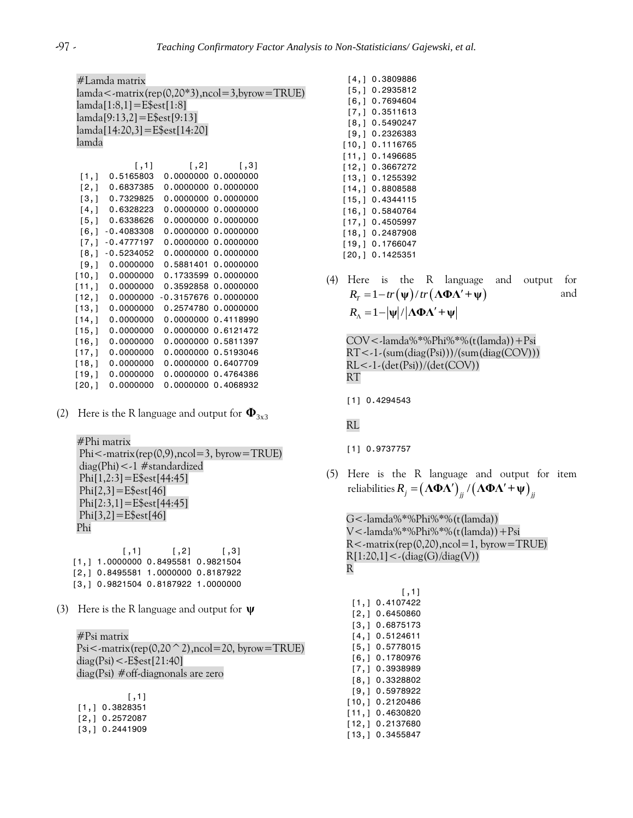#Lamda matrix lamda<-matrix(rep(0,20\*3),ncol=3,byrow=TRUE) lamda[1:8,1]=E\$est[1:8] lamda[9:13,2]=E\$est[9:13] lamda[14:20,3]=E\$est[14:20] lamda

|         | [1,1]        | $\left[ 1, 2 \right]$ | $\lceil$ , 31 |
|---------|--------------|-----------------------|---------------|
| [1, 1]  | 0.5165803    | 0.0000000             | 0,0000000     |
| [2,1]   | 0.6837385    | 0.0000000             | 0.0000000     |
| [3,1]   | 0.7329825    | 0.0000000             | 0,0000000     |
| [4,1]   | 0.6328223    | 0.0000000             | 0.0000000     |
| [5,1]   | 0.6338626    | 0.0000000             | 0.0000000     |
| [6,1]   | $-0.4083308$ | 0.0000000             | 0.0000000     |
| [7,]    | $-0.4777197$ | 0.0000000             | 0.0000000     |
| [8,1]   | $-0.5234052$ | 0.0000000             | 0.0000000     |
| [9,1]   | 0.0000000    | 0.5881401             | 0.0000000     |
| [10, 1] | 0.0000000    | 0.1733599             | 0.0000000     |
| [11, 1] | 0.0000000    | 0.3592858             | 0.0000000     |
| [12, 1] | 0.0000000    | -0.3157676            | 0.0000000     |
| [13, 1] | 0.0000000    | 0.2574780             | 0.0000000     |
| [14,1]  | 0.0000000    | 0.0000000             | 0.4118990     |
| [15, 1] | 0.0000000    | 0.0000000             | 0.6121472     |
| [16,1]  | 0.0000000    | 0.0000000             | 0.5811397     |
| [17,1]  | 0.0000000    | 0.0000000             | 0.5193046     |
| [18,]   | 0.0000000    | 0.0000000             | 0.6407709     |
| [19,1]  | 0.0000000    | 0.0000000             | 0.4764386     |
| [20,]   | 0.0000000    | 0.0000000             | 0.4068932     |

(2) Here is the R language and output for  $\Phi_{3x3}$ 

#Phi matrix  $Phi < -\n$ matrix(rep(0,9),ncol=3, byrow=TRUE) diag(Phi)<-1 #standardized  $Phi[1,2:3] = E$est[44:45]$  $Phi[2,3] = E$est[46]$ Phi $[2:3,1] =$ E $$est[44:45]$  $Phi[3,2] = E$est[46]$ Phi

 $[\ ,1] \qquad \quad [\ ,2] \qquad \quad [\ ,3]$ [1,] 1.0000000 0.8495581 0.9821504 [2,] 0.8495581 1.0000000 0.8187922 [3,] 0.9821504 0.8187922 1.0000000

(3) Here is the R language and output for **ψ**

#Psi matrix Psi $\leq$ -matrix(rep(0,20  $\degree$  2),ncol=20, byrow=TRUE)  $diag(Psi) < -E$est[21:40]$ diag(Psi) #off-diagnonals are zero

| [1,1]          |
|----------------|
| [1,] 0.3828351 |
| [2,] 0.2572087 |
| [3,] 0.2441909 |

[4,] 0.3809886 [5,] 0.2935812 [6,] 0.7694604 [7,] 0.3511613 [8,] 0.5490247 [9,] 0.2326383 [10,] 0.1116765 [11,] 0.1496685 [12,] 0.3667272 [13,] 0.1255392 [14,] 0.8808588 [15,] 0.4344115 [16,] 0.5840764 [17,] 0.4505997 [18,] 0.2487908 [19,] 0.1766047 [20,] 0.1425351

(4) Here is the R language and output for Here is the R language a<br>  $R_T = 1 - tr(\psi)/tr(\Lambda \Phi \Lambda' + \psi)$ and  $R_{\scriptscriptstyle{\wedge}} = 1 - |\psi| / |\Lambda \Phi \Lambda' + \psi|$ 

COV<-lamda%\*%Phi%\*%(t(lamda))+Psi RT<-1-(sum(diag(Psi)))/(sum(diag(COV)))  $RL < -1$ - $(det(Psi))/(det(COV))$ RT

[1] 0.4294543

RL

- [1] 0.9737757
- (5) Here is the R language and output for item *Here is the R language and output for the R language and output for*  $R_j = (\Lambda \Phi \Lambda')_{jj} / (\Lambda \Phi \Lambda' + \Psi)_{jj}$

G<-lamda%\*%Phi%\*%(t(lamda)) V<-lamda%\*%Phi%\*%(t(lamda))+Psi R<-matrix(rep(0,20),ncol=1, byrow=TRUE)  $R[1:20,1] < (diag(G)/diag(V))$ R

|       | [,1]      |
|-------|-----------|
| [1,]  | 0.4107422 |
| [2,]  | 0.6450860 |
| [3,]  | 0.6875173 |
| [4,]  | 0.5124611 |
| [5,]  | 0.5778015 |
| [6,]  | 0.1780976 |
| [7,]  | 0.3938989 |
| [8,]  | 0.3328802 |
| [9,]  | 0.5978922 |
| [10,] | 0.2120486 |
| [11,] | 0.4630820 |
| [12,] | 0.2137680 |
| [13.] | 0.3455847 |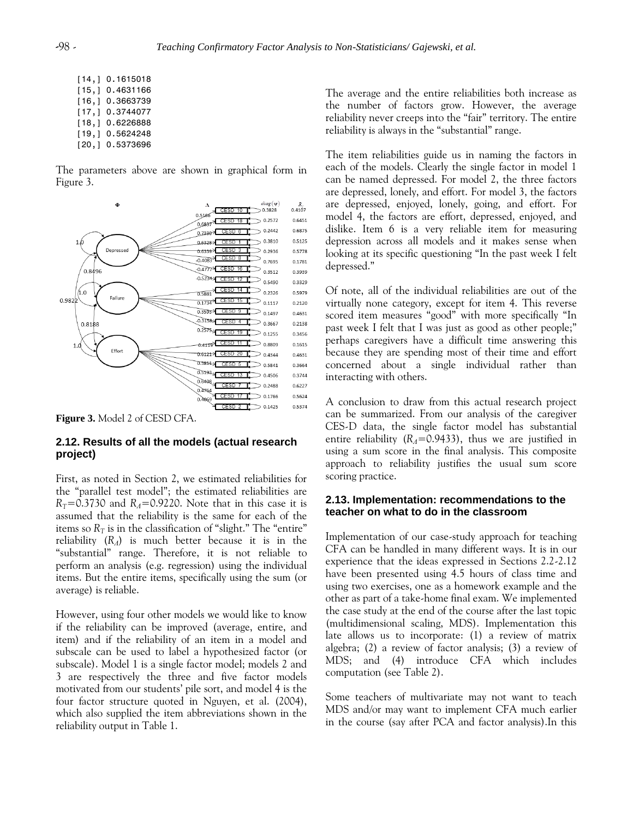| [14, 1] | 0.1615018 |
|---------|-----------|
| [15, 1] | 0.4631166 |
| [16, 1] | 0.3663739 |
| [17.]   | 0.3744077 |
| [18, 1] | 0.6226888 |
| [19,]   | 0.5624248 |
| [20, 1] | 0.5373696 |

The parameters above are shown in graphical form in Figure 3.



**Figure 3.** Model 2 of CESD CFA.

## **2.12. Results of all the models (actual research project)**

First, as noted in Section 2, we estimated reliabilities for the "parallel test model"; the estimated reliabilities are  $R_T$ =0.3730 and  $R_A$ =0.9220. Note that in this case it is assumed that the reliability is the same for each of the items so  $R_T$  is in the classification of "slight." The "entire" reliability (*RΛ*) is much better because it is in the "substantial" range. Therefore, it is not reliable to perform an analysis (e.g. regression) using the individual items. But the entire items, specifically using the sum (or average) is reliable.

However, using four other models we would like to know if the reliability can be improved (average, entire, and item) and if the reliability of an item in a model and subscale can be used to label a hypothesized factor (or subscale). Model 1 is a single factor model; models 2 and 3 are respectively the three and five factor models motivated from our students' pile sort, and model 4 is the four factor structure quoted in Nguyen, et al. (2004), which also supplied the item abbreviations shown in the reliability output in Table 1.

The average and the entire reliabilities both increase as the number of factors grow. However, the average reliability never creeps into the "fair" territory. The entire reliability is always in the "substantial" range.

The item reliabilities guide us in naming the factors in each of the models. Clearly the single factor in model 1 can be named depressed. For model 2, the three factors are depressed, lonely, and effort. For model 3, the factors are depressed, enjoyed, lonely, going, and effort. For model 4, the factors are effort, depressed, enjoyed, and dislike. Item 6 is a very reliable item for measuring depression across all models and it makes sense when looking at its specific questioning "In the past week I felt depressed."

Of note, all of the individual reliabilities are out of the virtually none category, except for item 4. This reverse scored item measures "good" with more specifically "In past week I felt that I was just as good as other people;" perhaps caregivers have a difficult time answering this because they are spending most of their time and effort concerned about a single individual rather than interacting with others.

A conclusion to draw from this actual research project can be summarized. From our analysis of the caregiver CES-D data, the single factor model has substantial entire reliability ( $R_A$ =0.9433), thus we are justified in using a sum score in the final analysis. This composite approach to reliability justifies the usual sum score scoring practice.

## **2.13. Implementation: recommendations to the teacher on what to do in the classroom**

Implementation of our case-study approach for teaching CFA can be handled in many different ways. It is in our experience that the ideas expressed in Sections 2.2-2.12 have been presented using 4.5 hours of class time and using two exercises, one as a homework example and the other as part of a take-home final exam. We implemented the case study at the end of the course after the last topic (multidimensional scaling, MDS). Implementation this late allows us to incorporate: (1) a review of matrix algebra; (2) a review of factor analysis; (3) a review of MDS; and (4) introduce CFA which includes computation (see Table 2).

Some teachers of multivariate may not want to teach MDS and/or may want to implement CFA much earlier in the course (say after PCA and factor analysis).In this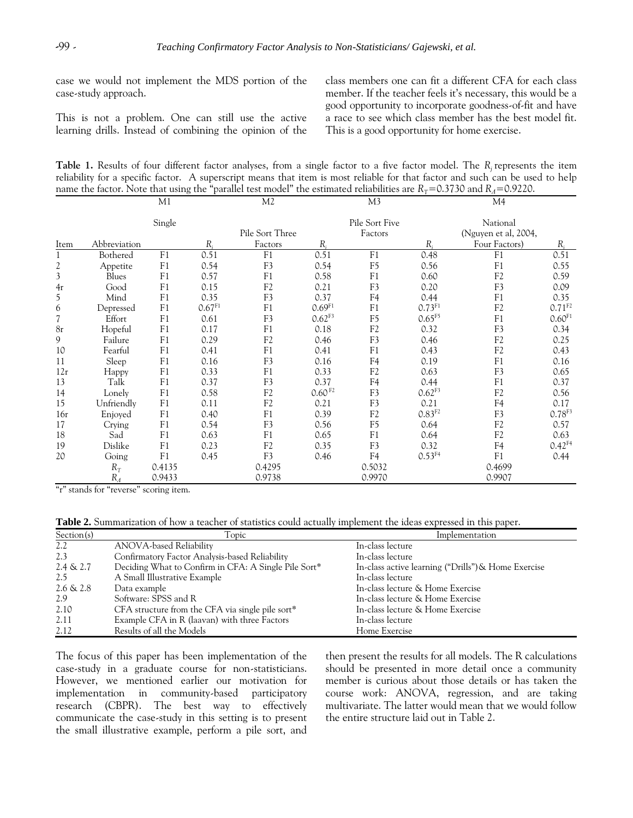case we would not implement the MDS portion of the case-study approach.

This is not a problem. One can still use the active learning drills. Instead of combining the opinion of the class members one can fit a different CFA for each class member. If the teacher feels it's necessary, this would be a good opportunity to incorporate goodness-of-fit and have a race to see which class member has the best model fit. This is a good opportunity for home exercise.

**Table 1.** Results of four different factor analyses, from a single factor to a five factor model. The *R<sup>j</sup>* represents the item reliability for a specific factor. A superscript means that item is most reliable for that factor and such can be used to help name the factor. Note that using the "parallel test model" the estimated reliabilities are  $R_T$ =0.3730 and  $R_A$ =0.9220.

|                         |              | M1             |           | M <sub>2</sub>  |                    | M <sub>3</sub>            |                    | M4                               |             |
|-------------------------|--------------|----------------|-----------|-----------------|--------------------|---------------------------|--------------------|----------------------------------|-------------|
|                         |              | Single         |           | Pile Sort Three |                    | Pile Sort Five<br>Factors |                    | National<br>(Nguyen et al, 2004, |             |
| Item                    | Abbreviation |                | $R_i$     | Factors         | $R_i$              |                           | $R_{i}$            | Four Factors)                    | $R_{i}$     |
| $\mathbf{1}$            | Bothered     | F1             | 0.51      | F1              | 0.51               | F1                        | 0.48               | F1                               | 0.51        |
| $\overline{\mathbf{c}}$ | Appetite     | F1             | 0.54      | F3              | 0.54               | F <sub>5</sub>            | 0.56               | F1                               | 0.55        |
| $\overline{\mathbf{3}}$ | Blues        | F1             | 0.57      | F1              | 0.58               | F1                        | 0.60               | F <sub>2</sub>                   | 0.59        |
| 4r                      | Good         | F1             | 0.15      | F <sub>2</sub>  | 0.21               | F3                        | 0.20               | F <sub>3</sub>                   | 0.09        |
| 5                       | Mind         | F1             | 0.35      | F <sub>3</sub>  | 0.37               | F <sub>4</sub>            | 0.44               | F1                               | 0.35        |
| 6                       | Depressed    | F1             | $0.67F1}$ | F <sub>1</sub>  | 0.69 <sup>F1</sup> | F1                        | $0.73F1}$          | F2                               | $0.71^{F2}$ |
|                         | Effort       | F1             | 0.61      | F3              | $0.62^{F3}$        | F <sub>5</sub>            | $0.65^{F5}$        | F1                               | 0.60F1      |
| 8r                      | Hopeful      | F1             | 0.17      | F1              | 0.18               | F <sub>2</sub>            | 0.32               | F <sub>3</sub>                   | 0.34        |
| 9                       | Failure      | F1             | 0.29      | F <sub>2</sub>  | 0.46               | F <sub>3</sub>            | 0.46               | F2                               | 0.25        |
| 10                      | Fearful      | F1             | 0.41      | F1              | 0.41               | F1                        | 0.43               | F2                               | 0.43        |
| 11                      | Sleep        | F1             | 0.16      | F <sub>3</sub>  | 0.16               | F <sub>4</sub>            | 0.19               | F1                               | 0.16        |
| 12r                     | Happy        | F1             | 0.33      | F <sub>1</sub>  | 0.33               | F <sub>2</sub>            | 0.63               | F3                               | 0.65        |
| 13                      | Talk         | F1             | 0.37      | F <sub>3</sub>  | 0.37               | F <sub>4</sub>            | 0.44               | F1                               | 0.37        |
| 14                      | Lonely       | F1             | 0.58      | F <sub>2</sub>  | 0.60 <sup>F2</sup> | F <sub>3</sub>            | $0.62^{F3}$        | F2                               | 0.56        |
| 15                      | Unfriendly   | F1             | 0.11      | F <sub>2</sub>  | 0.21               | F3                        | 0.21               | F <sub>4</sub>                   | 0.17        |
| 16r                     | Enjoyed      | F1             | 0.40      | F1              | 0.39               | F <sub>2</sub>            | 0.83F <sup>2</sup> | F <sub>3</sub>                   | $0.78F^3$   |
| 17                      | Crying       | F1             | 0.54      | F <sub>3</sub>  | 0.56               | F <sub>5</sub>            | 0.64               | F2                               | 0.57        |
| 18                      | Sad          | F <sub>1</sub> | 0.63      | F <sub>1</sub>  | 0.65               | F1                        | 0.64               | F2                               | 0.63        |
| 19                      | Dislike      | F <sub>1</sub> | 0.23      | F <sub>2</sub>  | 0.35               | F <sub>3</sub>            | 0.32               | F <sub>4</sub>                   | $0.42^{F4}$ |
| 20                      | Going        | F1             | 0.45      | F3              | 0.46               | F <sub>4</sub>            | $0.53^{F4}$        | F1                               | 0.44        |
|                         | $R_T$        | 0.4135         |           | 0.4295          |                    | 0.5032                    |                    | 0.4699                           |             |
|                         | $R_A$        | 0.9433         |           | 0.9738          |                    | 0.9970                    |                    | 0.9907                           |             |

"r" stands for "reverse" scoring item.

**Table 2.** Summarization of how a teacher of statistics could actually implement the ideas expressed in this paper.

| Section(s)   | Topic                                                | Implementation                                      |
|--------------|------------------------------------------------------|-----------------------------------------------------|
| 2.2          | ANOVA-based Reliability                              | In-class lecture                                    |
| 2.3          | Confirmatory Factor Analysis-based Reliability       | In-class lecture                                    |
| $2.4 \& 2.7$ | Deciding What to Confirm in CFA: A Single Pile Sort* | In-class active learning ("Drills") & Home Exercise |
| 2.5          | A Small Illustrative Example                         | In-class lecture                                    |
| $2.6 \& 2.8$ | Data example                                         | In-class lecture & Home Exercise                    |
| 2.9          | Software: SPSS and R                                 | In-class lecture & Home Exercise                    |
| 2.10         | CFA structure from the CFA via single pile sort*     | In-class lecture & Home Exercise                    |
| 2.11         | Example CFA in R (laavan) with three Factors         | In-class lecture                                    |
| 2.12         | Results of all the Models                            | Home Exercise                                       |

The focus of this paper has been implementation of the case-study in a graduate course for non-statisticians. However, we mentioned earlier our motivation for implementation in community-based participatory research (CBPR). The best way to effectively communicate the case-study in this setting is to present the small illustrative example, perform a pile sort, and then present the results for all models. The R calculations should be presented in more detail once a community member is curious about those details or has taken the course work: ANOVA, regression, and are taking multivariate. The latter would mean that we would follow the entire structure laid out in Table 2.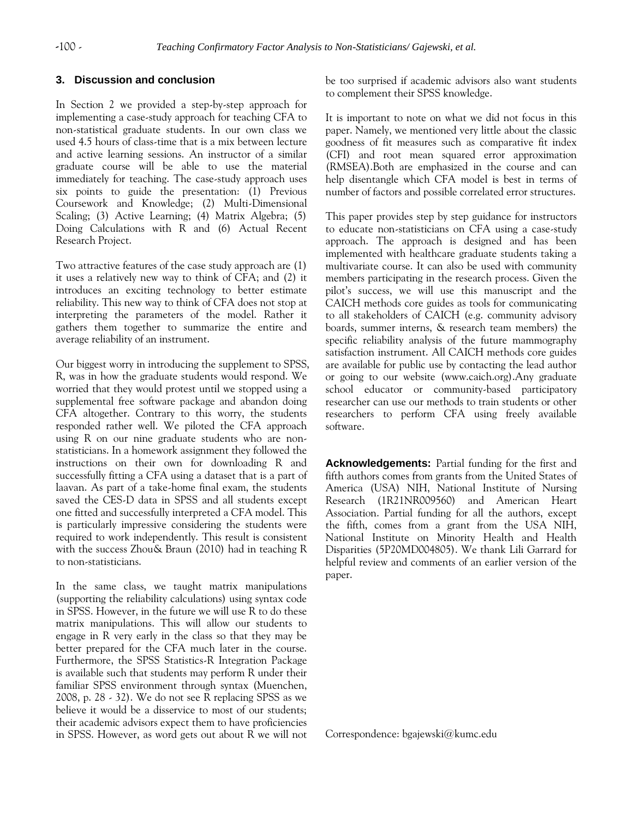## **3. Discussion and conclusion**

In Section 2 we provided a step-by-step approach for implementing a case-study approach for teaching CFA to non-statistical graduate students. In our own class we used 4.5 hours of class-time that is a mix between lecture and active learning sessions. An instructor of a similar graduate course will be able to use the material immediately for teaching. The case-study approach uses six points to guide the presentation: (1) Previous Coursework and Knowledge; (2) Multi-Dimensional Scaling; (3) Active Learning; (4) Matrix Algebra; (5) Doing Calculations with R and (6) Actual Recent Research Project.

Two attractive features of the case study approach are (1) it uses a relatively new way to think of CFA; and (2) it introduces an exciting technology to better estimate reliability. This new way to think of CFA does not stop at interpreting the parameters of the model. Rather it gathers them together to summarize the entire and average reliability of an instrument.

Our biggest worry in introducing the supplement to SPSS, R, was in how the graduate students would respond. We worried that they would protest until we stopped using a supplemental free software package and abandon doing CFA altogether. Contrary to this worry, the students responded rather well. We piloted the CFA approach using R on our nine graduate students who are nonstatisticians. In a homework assignment they followed the instructions on their own for downloading R and successfully fitting a CFA using a dataset that is a part of laavan. As part of a take-home final exam, the students saved the CES-D data in SPSS and all students except one fitted and successfully interpreted a CFA model. This is particularly impressive considering the students were required to work independently. This result is consistent with the success Zhou& Braun (2010) had in teaching R to non-statisticians.

In the same class, we taught matrix manipulations (supporting the reliability calculations) using syntax code in SPSS. However, in the future we will use R to do these matrix manipulations. This will allow our students to engage in R very early in the class so that they may be better prepared for the CFA much later in the course. Furthermore, the SPSS Statistics-R Integration Package is available such that students may perform R under their familiar SPSS environment through syntax (Muenchen, 2008, p. 28 - 32). We do not see R replacing SPSS as we believe it would be a disservice to most of our students; their academic advisors expect them to have proficiencies in SPSS. However, as word gets out about R we will not be too surprised if academic advisors also want students to complement their SPSS knowledge.

It is important to note on what we did not focus in this paper. Namely, we mentioned very little about the classic goodness of fit measures such as comparative fit index (CFI) and root mean squared error approximation (RMSEA).Both are emphasized in the course and can help disentangle which CFA model is best in terms of number of factors and possible correlated error structures.

This paper provides step by step guidance for instructors to educate non-statisticians on CFA using a case-study approach. The approach is designed and has been implemented with healthcare graduate students taking a multivariate course. It can also be used with community members participating in the research process. Given the pilot's success, we will use this manuscript and the CAICH methods core guides as tools for communicating to all stakeholders of CAICH (e.g. community advisory boards, summer interns, & research team members) the specific reliability analysis of the future mammography satisfaction instrument. All CAICH methods core guides are available for public use by contacting the lead author or going to our website (www.caich.org).Any graduate school educator or community-based participatory researcher can use our methods to train students or other researchers to perform CFA using freely available software.

**Acknowledgements:** Partial funding for the first and fifth authors comes from grants from the United States of America (USA) NIH, National Institute of Nursing Research (1R21NR009560) and American Heart Association. Partial funding for all the authors, except the fifth, comes from a grant from the USA NIH, National Institute on Minority Health and Health Disparities (5P20MD004805). We thank Lili Garrard for helpful review and comments of an earlier version of the paper.

Correspondence: bgajewski@kumc.edu